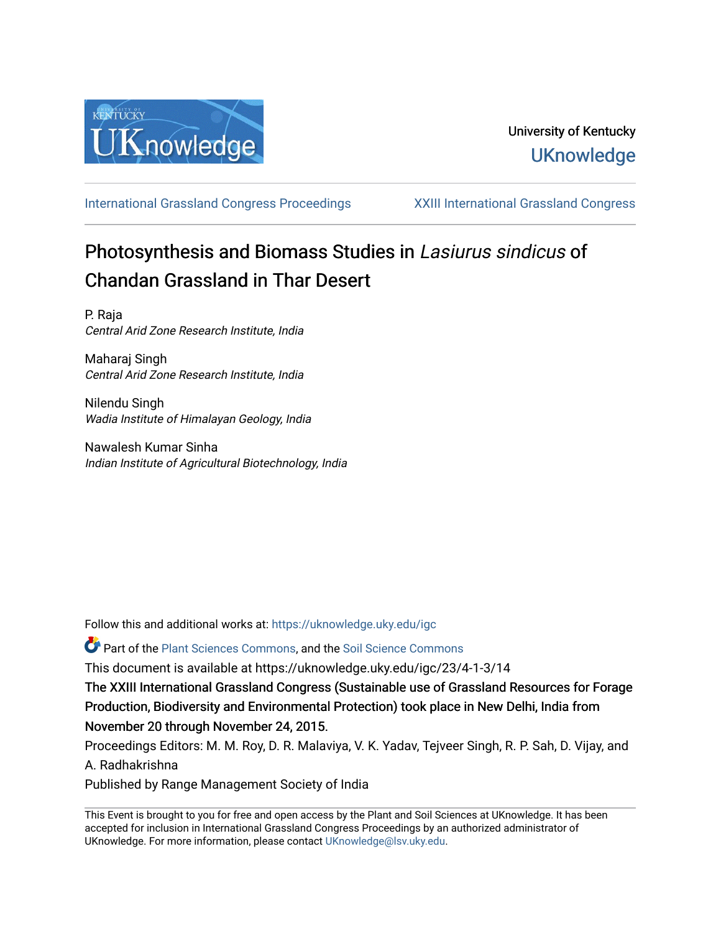

[International Grassland Congress Proceedings](https://uknowledge.uky.edu/igc) [XXIII International Grassland Congress](https://uknowledge.uky.edu/igc/23) 

# Photosynthesis and Biomass Studies in Lasiurus sindicus of Chandan Grassland in Thar Desert

P. Raja Central Arid Zone Research Institute, India

Maharaj Singh Central Arid Zone Research Institute, India

Nilendu Singh Wadia Institute of Himalayan Geology, India

Nawalesh Kumar Sinha Indian Institute of Agricultural Biotechnology, India

Follow this and additional works at: [https://uknowledge.uky.edu/igc](https://uknowledge.uky.edu/igc?utm_source=uknowledge.uky.edu%2Figc%2F23%2F4-1-3%2F14&utm_medium=PDF&utm_campaign=PDFCoverPages) 

Part of the [Plant Sciences Commons](http://network.bepress.com/hgg/discipline/102?utm_source=uknowledge.uky.edu%2Figc%2F23%2F4-1-3%2F14&utm_medium=PDF&utm_campaign=PDFCoverPages), and the [Soil Science Commons](http://network.bepress.com/hgg/discipline/163?utm_source=uknowledge.uky.edu%2Figc%2F23%2F4-1-3%2F14&utm_medium=PDF&utm_campaign=PDFCoverPages) 

This document is available at https://uknowledge.uky.edu/igc/23/4-1-3/14

The XXIII International Grassland Congress (Sustainable use of Grassland Resources for Forage Production, Biodiversity and Environmental Protection) took place in New Delhi, India from November 20 through November 24, 2015.

Proceedings Editors: M. M. Roy, D. R. Malaviya, V. K. Yadav, Tejveer Singh, R. P. Sah, D. Vijay, and A. Radhakrishna

Published by Range Management Society of India

This Event is brought to you for free and open access by the Plant and Soil Sciences at UKnowledge. It has been accepted for inclusion in International Grassland Congress Proceedings by an authorized administrator of UKnowledge. For more information, please contact [UKnowledge@lsv.uky.edu](mailto:UKnowledge@lsv.uky.edu).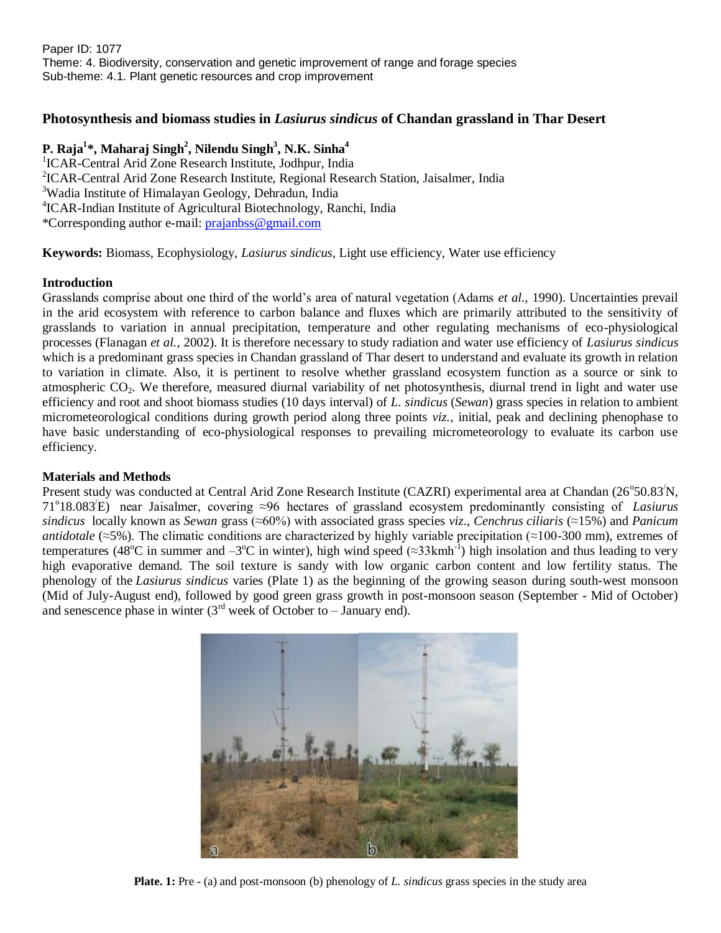## **Photosynthesis and biomass studies in** *Lasiurus sindicus* **of Chandan grassland in Thar Desert**

## **P. Raja<sup>1</sup> \*, Maharaj Singh<sup>2</sup> , Nilendu Singh<sup>3</sup> , N.K. Sinha<sup>4</sup>**

<sup>1</sup>ICAR-Central Arid Zone Research Institute, Jodhpur, India 2 ICAR-Central Arid Zone Research Institute, Regional Research Station, Jaisalmer, India <sup>3</sup>Wadia Institute of Himalayan Geology, Dehradun, India 4 ICAR-Indian Institute of Agricultural Biotechnology, Ranchi, India \*Corresponding author e-mail: [prajanbss@gmail.com](mailto:prajanbss@gmail.com)

**Keywords:** Biomass, Ecophysiology, *Lasiurus sindicus*, Light use efficiency, Water use efficiency

## **Introduction**

Grasslands comprise about one third of the world's area of natural vegetation (Adams *et al.,* 1990). Uncertainties prevail in the arid ecosystem with reference to carbon balance and fluxes which are primarily attributed to the sensitivity of grasslands to variation in annual precipitation, temperature and other regulating mechanisms of eco-physiological processes (Flanagan *et al.,* 2002). It is therefore necessary to study radiation and water use efficiency of *Lasiurus sindicus* which is a predominant grass species in Chandan grassland of Thar desert to understand and evaluate its growth in relation to variation in climate. Also, it is pertinent to resolve whether grassland ecosystem function as a source or sink to atmospheric CO<sub>2</sub>. We therefore, measured diurnal variability of net photosynthesis, diurnal trend in light and water use efficiency and root and shoot biomass studies (10 days interval) of *L. sindicus* (*Sewan*) grass species in relation to ambient micrometeorological conditions during growth period along three points *viz.,* initial, peak and declining phenophase to have basic understanding of eco-physiological responses to prevailing micrometeorology to evaluate its carbon use efficiency.

## **Materials and Methods**

Present study was conducted at Central Arid Zone Research Institute (CAZRI) experimental area at Chandan (26°50.83<sup>/</sup>N, 71<sup>o</sup> 18.083/E) near Jaisalmer, covering ≈96 hectares of grassland ecosystem predominantly consisting of *Lasiurus sindicus* locally known as *Sewan* grass (≈60%) with associated grass species *viz*., *Cenchrus ciliaris* (≈15%) and *Panicum antidotale* (≈5%). The climatic conditions are characterized by highly variable precipitation (≈100-300 mm), extremes of temperatures (48<sup>o</sup>C in summer and  $-3$ <sup>o</sup>C in winter), high wind speed (≈33kmh<sup>-1</sup>) high insolation and thus leading to very high evaporative demand. The soil texture is sandy with low organic carbon content and low fertility status. The phenology of the *Lasiurus sindicus* varies (Plate 1) as the beginning of the growing season during south-west monsoon (Mid of July-August end), followed by good green grass growth in post-monsoon season (September - Mid of October) and senescence phase in winter  $(3<sup>rd</sup>$  week of October to – January end).



**Plate. 1:** Pre - (a) and post-monsoon (b) phenology of *L. sindicus* grass species in the study area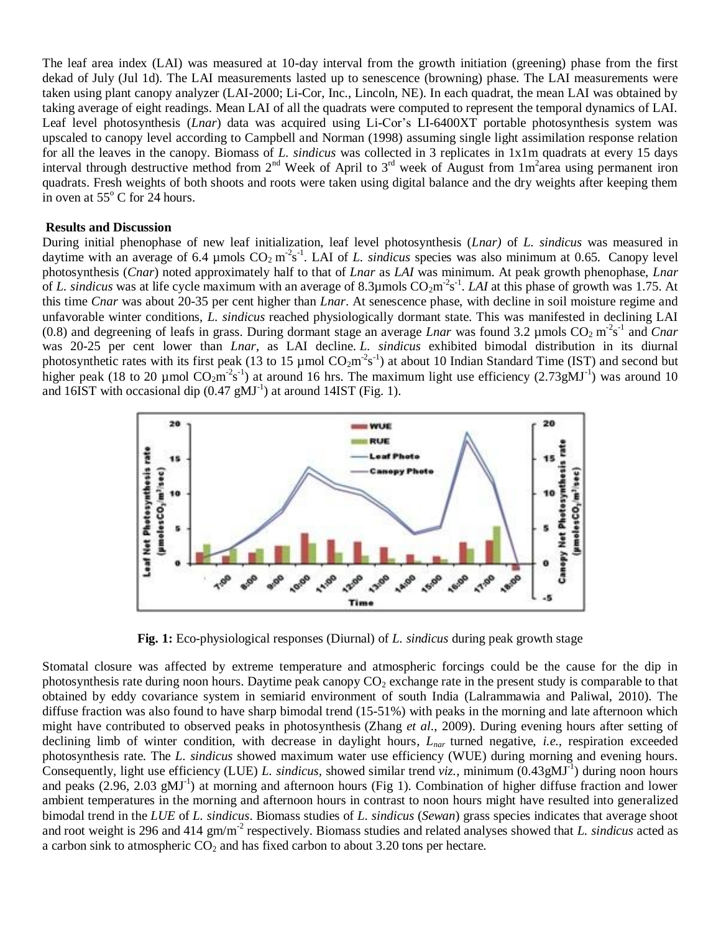The leaf area index (LAI) was measured at 10-day interval from the growth initiation (greening) phase from the first dekad of July (Jul 1d). The LAI measurements lasted up to senescence (browning) phase. The LAI measurements were taken using plant canopy analyzer (LAI-2000; Li-Cor, Inc., Lincoln, NE). In each quadrat, the mean LAI was obtained by taking average of eight readings. Mean LAI of all the quadrats were computed to represent the temporal dynamics of LAI. Leaf level photosynthesis (*Lnar*) data was acquired using Li-Cor's LI-6400XT portable photosynthesis system was upscaled to canopy level according to Campbell and Norman (1998) assuming single light assimilation response relation for all the leaves in the canopy. Biomass of *L. sindicus* was collected in 3 replicates in 1x1m quadrats at every 15 days interval through destructive method from  $2^{nd}$  Week of April to  $3^{rd}$  week of August from  $1m^2$ area using permanent iron quadrats. Fresh weights of both shoots and roots were taken using digital balance and the dry weights after keeping them in oven at  $55^{\circ}$  C for 24 hours.

#### **Results and Discussion**

During initial phenophase of new leaf initialization, leaf level photosynthesis (*Lnar)* of *L. sindicus* was measured in daytime with an average of 6.4 µmols  $CO_2$  m<sup>-2</sup>s<sup>-1</sup>. LAI of *L. sindicus* species was also minimum at 0.65. Canopy level photosynthesis (*Cnar*) noted approximately half to that of *Lnar* as *LAI* was minimum. At peak growth phenophase, *Lnar* of *L. sindicus* was at life cycle maximum with an average of 8.3µmols  $CO_2m^2s^{-1}$ . *LAI* at this phase of growth was 1.75. At this time *Cnar* was about 20-35 per cent higher than *Lnar*. At senescence phase, with decline in soil moisture regime and unfavorable winter conditions, *L. sindicus* reached physiologically dormant state. This was manifested in declining LAI (0.8) and degreening of leafs in grass. During dormant stage an average *Lnar* was found 3.2 µmols  $CO_2 \text{ m}^2 \text{s}^{-1}$  and *Cnar* was 20-25 per cent lower than *Lnar*, as LAI decline. *L. sindicus* exhibited bimodal distribution in its diurnal photosynthetic rates with its first peak (13 to 15  $\mu$ mol CO<sub>2</sub>m<sup>-2</sup>s<sup>-1</sup>) at about 10 Indian Standard Time (IST) and second but higher peak (18 to 20 µmol  $CO_2m^2s^{-1}$ ) at around 16 hrs. The maximum light use efficiency (2.73gMJ<sup>-1</sup>) was around 10 and  $16IST$  with occasional dip  $(0.47 \text{ g} \text{MJ}^{-1})$  at around  $14IST$  (Fig. 1).



**Fig. 1:** Eco-physiological responses (Diurnal) of *L. sindicus* during peak growth stage

Stomatal closure was affected by extreme temperature and atmospheric forcings could be the cause for the dip in photosynthesis rate during noon hours. Daytime peak canopy  $CO<sub>2</sub>$  exchange rate in the present study is comparable to that obtained by eddy covariance system in semiarid environment of south India (Lalrammawia and Paliwal, 2010). The diffuse fraction was also found to have sharp bimodal trend (15-51%) with peaks in the morning and late afternoon which might have contributed to observed peaks in photosynthesis (Zhang *et al*., 2009). During evening hours after setting of declining limb of winter condition, with decrease in daylight hours, *Lnar* turned negative, *i.e.,* respiration exceeded photosynthesis rate. The *L. sindicus* showed maximum water use efficiency (WUE) during morning and evening hours. Consequently, light use efficiency (LUE) L. *sindicus*, showed similar trend *viz.*, minimum  $(0.43gMJ^{-1})$  during noon hours and peaks  $(2.96, 2.03 \text{ gMJ}^{-1})$  at morning and afternoon hours (Fig 1). Combination of higher diffuse fraction and lower ambient temperatures in the morning and afternoon hours in contrast to noon hours might have resulted into generalized bimodal trend in the *LUE* of *L. sindicus*. Biomass studies of *L. sindicus* (*Sewan*) grass species indicates that average shoot and root weight is 296 and 414 gm/m<sup>-2</sup> respectively. Biomass studies and related analyses showed that *L. sindicus* acted as a carbon sink to atmospheric  $CO<sub>2</sub>$  and has fixed carbon to about 3.20 tons per hectare.